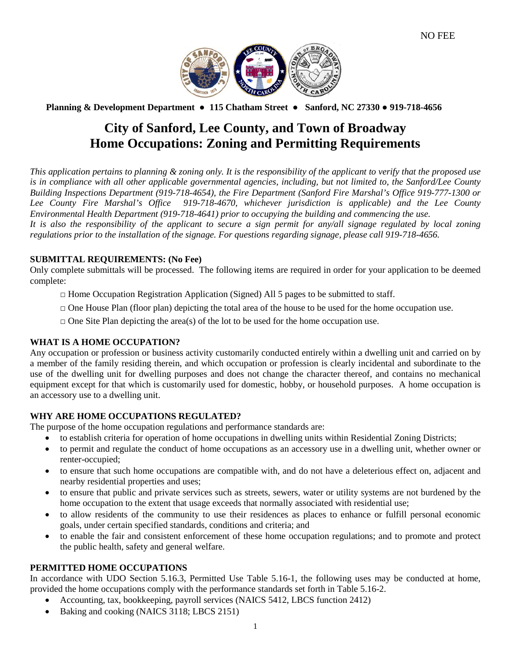

 **Planning & Development Department ● 115 Chatham Street ● Sanford, NC 27330 ● 919-718-4656**

# **City of Sanford, Lee County, and Town of Broadway Home Occupations: Zoning and Permitting Requirements**

*This application pertains to planning & zoning only. It is the responsibility of the applicant to verify that the proposed use is in compliance with all other applicable governmental agencies, including, but not limited to, the Sanford/Lee County Building Inspections Department (919-718-4654), the Fire Department (Sanford Fire Marshal's Office 919-777-1300 or Lee County Fire Marshal's Office 919-718-4670, whichever jurisdiction is applicable) and the Lee County Environmental Health Department (919-718-4641) prior to occupying the building and commencing the use. It is also the responsibility of the applicant to secure a sign permit for any/all signage regulated by local zoning regulations prior to the installation of the signage. For questions regarding signage, please call 919-718-4656.*

## **SUBMITTAL REQUIREMENTS: (No Fee)**

Only complete submittals will be processed. The following items are required in order for your application to be deemed complete:

- $\Box$  Home Occupation Registration Application (Signed) All 5 pages to be submitted to staff.
- $\Box$  One House Plan (floor plan) depicting the total area of the house to be used for the home occupation use.
- $\Box$  One Site Plan depicting the area(s) of the lot to be used for the home occupation use.

## **WHAT IS A HOME OCCUPATION?**

Any occupation or profession or business activity customarily conducted entirely within a dwelling unit and carried on by a member of the family residing therein, and which occupation or profession is clearly incidental and subordinate to the use of the dwelling unit for dwelling purposes and does not change the character thereof, and contains no mechanical equipment except for that which is customarily used for domestic, hobby, or household purposes. A home occupation is an accessory use to a dwelling unit.

## **WHY ARE HOME OCCUPATIONS REGULATED?**

The purpose of the home occupation regulations and performance standards are:

- to establish criteria for operation of home occupations in dwelling units within Residential Zoning Districts;
- to permit and regulate the conduct of home occupations as an accessory use in a dwelling unit, whether owner or renter-occupied;
- to ensure that such home occupations are compatible with, and do not have a deleterious effect on, adjacent and nearby residential properties and uses;
- to ensure that public and private services such as streets, sewers, water or utility systems are not burdened by the home occupation to the extent that usage exceeds that normally associated with residential use;
- to allow residents of the community to use their residences as places to enhance or fulfill personal economic goals, under certain specified standards, conditions and criteria; and
- to enable the fair and consistent enforcement of these home occupation regulations; and to promote and protect the public health, safety and general welfare.

#### **PERMITTED HOME OCCUPATIONS**

In accordance with UDO Section 5.16.3, Permitted Use Table 5.16-1, the following uses may be conducted at home, provided the home occupations comply with the performance standards set forth in Table 5.16-2.

- Accounting, tax, bookkeeping, payroll services (NAICS 5412, LBCS function 2412)
- Baking and cooking (NAICS 3118; LBCS 2151)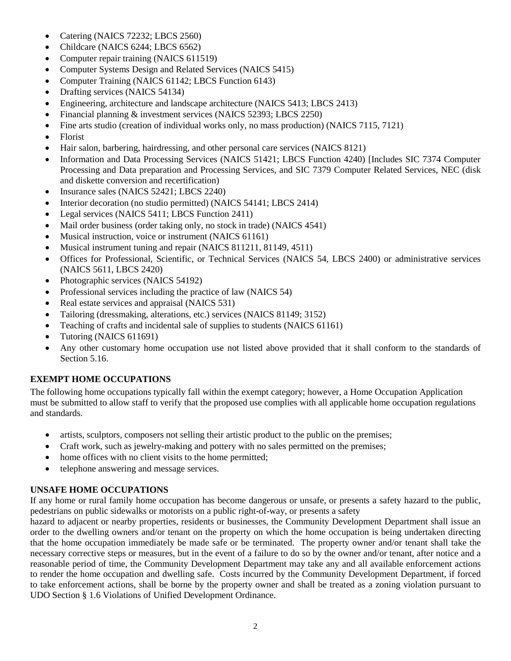- Catering (NAICS 72232; LBCS 2560)
- Childcare (NAICS 6244; LBCS 6562)
- Computer repair training (NAICS 611519)
- Computer Systems Design and Related Services (NAICS 5415)
- Computer Training (NAICS 61142; LBCS Function 6143)
- Drafting services (NAICS 54134)
- Engineering, architecture and landscape architecture (NAICS 5413; LBCS 2413)
- Financial planning & investment services (NAICS 52393; LBCS 2250)
- Fine arts studio (creation of individual works only, no mass production) (NAICS 7115, 7121)
- Florist
- Hair salon, barbering, hairdressing, and other personal care services (NAICS 8121)
- Information and Data Processing Services (NAICS 51421; LBCS Function 4240) [Includes SIC 7374 Computer Processing and Data preparation and Processing Services, and SIC 7379 Computer Related Services, NEC (disk and diskette conversion and recertification)
- Insurance sales (NAICS 52421; LBCS 2240)
- Interior decoration (no studio permitted) (NAICS 54141; LBCS 2414)
- Legal services (NAICS 5411; LBCS Function 2411)
- Mail order business (order taking only, no stock in trade) (NAICS 4541)
- Musical instruction, voice or instrument (NAICS 61161)
- Musical instrument tuning and repair (NAICS 811211, 81149, 4511)
- Offices for Professional, Scientific, or Technical Services (NAICS 54, LBCS 2400) or administrative services (NAICS 5611, LBCS 2420)
- Photographic services (NAICS 54192)
- Professional services including the practice of law (NAICS 54)
- Real estate services and appraisal (NAICS 531)
- Tailoring (dressmaking, alterations, etc.) services (NAICS 81149; 3152)
- Teaching of crafts and incidental sale of supplies to students (NAICS 61161)
- Tutoring (NAICS 611691)
- Any other customary home occupation use not listed above provided that it shall conform to the standards of Section 5.16.

## **EXEMPT HOME OCCUPATIONS**

The following home occupations typically fall within the exempt category; however, a Home Occupation Application must be submitted to allow staff to verify that the proposed use complies with all applicable home occupation regulations and standards.

- artists, sculptors, composers not selling their artistic product to the public on the premises;
- Craft work, such as jewelry-making and pottery with no sales permitted on the premises;
- home offices with no client visits to the home permitted;
- telephone answering and message services.

## **UNSAFE HOME OCCUPATIONS**

If any home or rural family home occupation has become dangerous or unsafe, or presents a safety hazard to the public, pedestrians on public sidewalks or motorists on a public right-of-way, or presents a safety

hazard to adjacent or nearby properties, residents or businesses, the Community Development Department shall issue an order to the dwelling owners and/or tenant on the property on which the home occupation is being undertaken directing that the home occupation immediately be made safe or be terminated. The property owner and/or tenant shall take the necessary corrective steps or measures, but in the event of a failure to do so by the owner and/or tenant, after notice and a reasonable period of time, the Community Development Department may take any and all available enforcement actions to render the home occupation and dwelling safe. Costs incurred by the Community Development Department, if forced to take enforcement actions, shall be borne by the property owner and shall be treated as a zoning violation pursuant to UDO Section § 1.6 Violations of Unified Development Ordinance.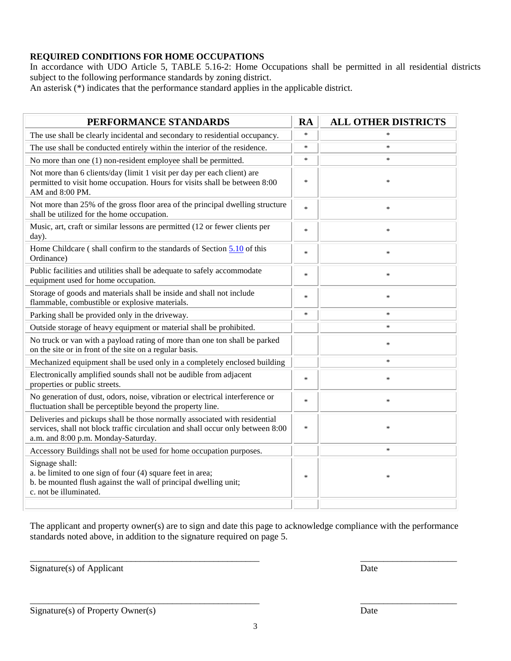## **REQUIRED CONDITIONS FOR HOME OCCUPATIONS**

In accordance with UDO Article 5, TABLE 5.16-2: Home Occupations shall be permitted in all residential districts subject to the following performance standards by zoning district.

An asterisk (\*) indicates that the performance standard applies in the applicable district.

| PERFORMANCE STANDARDS                                                                                                                                                                                | <b>RA</b> | <b>ALL OTHER DISTRICTS</b> |
|------------------------------------------------------------------------------------------------------------------------------------------------------------------------------------------------------|-----------|----------------------------|
| The use shall be clearly incidental and secondary to residential occupancy.                                                                                                                          | $\ast$    |                            |
| The use shall be conducted entirely within the interior of the residence.                                                                                                                            | $\ast$    | *                          |
| No more than one (1) non-resident employee shall be permitted.                                                                                                                                       | $\ast$    | $\ast$                     |
| Not more than 6 clients/day (limit 1 visit per day per each client) are<br>permitted to visit home occupation. Hours for visits shall be between 8:00<br>AM and 8:00 PM.                             | $\ast$    | $\ast$                     |
| Not more than 25% of the gross floor area of the principal dwelling structure<br>shall be utilized for the home occupation.                                                                          | *         | $\ast$                     |
| Music, art, craft or similar lessons are permitted (12 or fewer clients per<br>day).                                                                                                                 | $\ast$    | $\ast$                     |
| Home Childcare (shall confirm to the standards of Section 5.10 of this<br>Ordinance)                                                                                                                 | $\ast$    | $\ast$                     |
| Public facilities and utilities shall be adequate to safely accommodate<br>equipment used for home occupation.                                                                                       | $\ast$    | $\ast$                     |
| Storage of goods and materials shall be inside and shall not include<br>flammable, combustible or explosive materials.                                                                               | $\ast$    | $\ast$                     |
| Parking shall be provided only in the driveway.                                                                                                                                                      | $\ast$    | $\ast$                     |
| Outside storage of heavy equipment or material shall be prohibited.                                                                                                                                  |           | *                          |
| No truck or van with a payload rating of more than one ton shall be parked<br>on the site or in front of the site on a regular basis.                                                                |           | $\ast$                     |
| Mechanized equipment shall be used only in a completely enclosed building                                                                                                                            |           | $\ast$                     |
| Electronically amplified sounds shall not be audible from adjacent<br>properties or public streets.                                                                                                  | $\ast$    | $\ast$                     |
| No generation of dust, odors, noise, vibration or electrical interference or<br>fluctuation shall be perceptible beyond the property line.                                                           | $\ast$    | $\ast$                     |
| Deliveries and pickups shall be those normally associated with residential<br>services, shall not block traffic circulation and shall occur only between 8:00<br>a.m. and 8:00 p.m. Monday-Saturday. | *         | $\ast$                     |
| Accessory Buildings shall not be used for home occupation purposes.                                                                                                                                  |           | $\ast$                     |
| Signage shall:<br>a. be limited to one sign of four (4) square feet in area;<br>b. be mounted flush against the wall of principal dwelling unit;<br>c. not be illuminated.                           | $\ast$    | $\ast$                     |
|                                                                                                                                                                                                      |           |                            |

The applicant and property owner(s) are to sign and date this page to acknowledge compliance with the performance standards noted above, in addition to the signature required on page 5.

\_\_\_\_\_\_\_\_\_\_\_\_\_\_\_\_\_\_\_\_\_\_\_\_\_\_\_\_\_\_\_\_\_\_\_\_\_\_\_\_\_\_\_\_\_\_\_\_\_\_ \_\_\_\_\_\_\_\_\_\_\_\_\_\_\_\_\_\_\_\_\_

\_\_\_\_\_\_\_\_\_\_\_\_\_\_\_\_\_\_\_\_\_\_\_\_\_\_\_\_\_\_\_\_\_\_\_\_\_\_\_\_\_\_\_\_\_\_\_\_\_\_ \_\_\_\_\_\_\_\_\_\_\_\_\_\_\_\_\_\_\_\_\_

Signature(s) of Applicant Date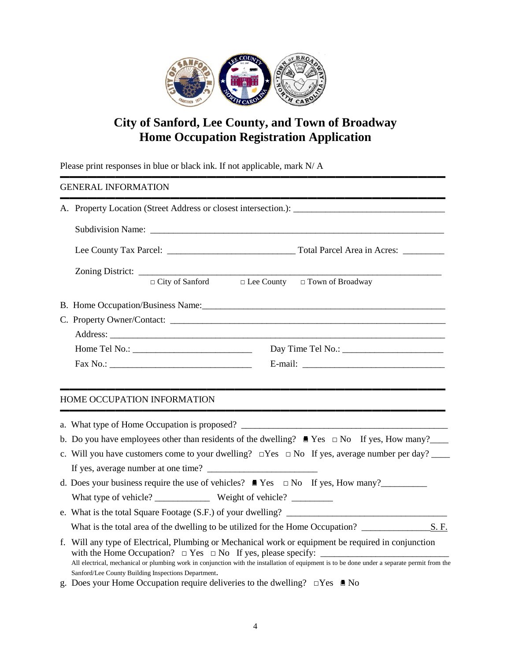

# **City of Sanford, Lee County, and Town of Broadway Home Occupation Registration Application**

Please print responses in blue or black ink. If not applicable, mark N/ A

#### ▬▬▬▬▬▬▬▬▬▬▬▬▬▬▬▬▬▬▬▬▬▬▬▬▬▬▬▬▬▬▬▬▬▬▬▬▬▬▬▬▬▬ GENERAL INFORMATION

|  |  |  |  | $\Box$ City of Sanford $\Box$ Lee County $\Box$ Town of Broadway |  |  |
|--|--|--|--|------------------------------------------------------------------|--|--|
|  |  |  |  |                                                                  |  |  |
|  |  |  |  |                                                                  |  |  |
|  |  |  |  |                                                                  |  |  |
|  |  |  |  |                                                                  |  |  |
|  |  |  |  |                                                                  |  |  |
|  |  |  |  |                                                                  |  |  |

#### ▬▬▬▬▬▬▬▬▬▬▬▬▬▬▬▬▬▬▬▬▬▬▬▬▬▬▬▬▬▬▬▬▬▬▬▬▬▬▬▬▬▬ HOME OCCUPATION INFORMATION

| a. What type of Home Occupation is proposed?                                                                                                                                                        |
|-----------------------------------------------------------------------------------------------------------------------------------------------------------------------------------------------------|
|                                                                                                                                                                                                     |
| b. Do you have employees other than residents of the dwelling? $\blacksquare$ Yes $\square$ No If yes, How many?                                                                                    |
| c. Will you have customers come to your dwelling? $\square$ Yes $\square$ No If yes, average number per day?                                                                                        |
|                                                                                                                                                                                                     |
| d. Does your business require the use of vehicles? $\blacksquare$ Yes $\square$ No If yes, How many?                                                                                                |
|                                                                                                                                                                                                     |
| e. What is the total Square Footage $(S.F.)$ of your dwelling?                                                                                                                                      |
| What is the total area of the dwelling to be utilized for the Home Occupation? S.F.                                                                                                                 |
| f. Will any type of Electrical, Plumbing or Mechanical work or equipment be required in conjunction                                                                                                 |
| All electrical, mechanical or plumbing work in conjunction with the installation of equipment is to be done under a separate permit from the<br>Sanford/Lee County Building Inspections Department. |

g. Does your Home Occupation require deliveries to the dwelling?  $\square$  Yes  $\blacksquare$  No